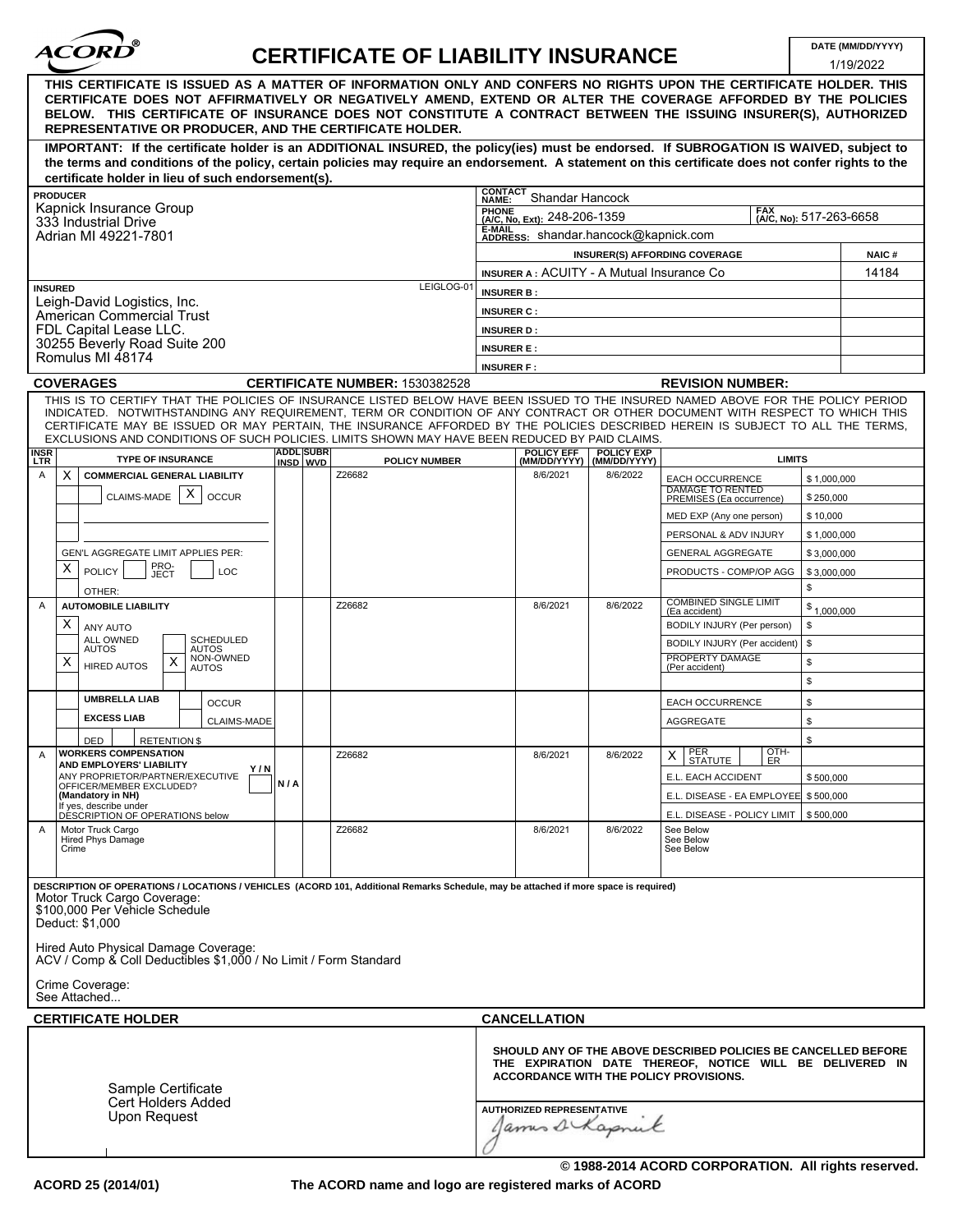| ACORD |  |
|-------|--|
|       |  |

## **DATE (MM/DD/YYYY) CERTIFICATE OF LIABILITY INSURANCE**

1/19/2022

|                                                                                                                                                                                                                                                                                                                                                                                                                                                                                                    |                                                                                                            |                              |                                       |                                                                                                                                                                             |  |                                   |                                                   |                   | 111912022             |
|----------------------------------------------------------------------------------------------------------------------------------------------------------------------------------------------------------------------------------------------------------------------------------------------------------------------------------------------------------------------------------------------------------------------------------------------------------------------------------------------------|------------------------------------------------------------------------------------------------------------|------------------------------|---------------------------------------|-----------------------------------------------------------------------------------------------------------------------------------------------------------------------------|--|-----------------------------------|---------------------------------------------------|-------------------|-----------------------|
| THIS CERTIFICATE IS ISSUED AS A MATTER OF INFORMATION ONLY AND CONFERS NO RIGHTS UPON THE CERTIFICATE HOLDER. THIS<br>CERTIFICATE DOES NOT AFFIRMATIVELY OR NEGATIVELY AMEND, EXTEND OR ALTER THE COVERAGE AFFORDED BY THE POLICIES<br>BELOW. THIS CERTIFICATE OF INSURANCE DOES NOT CONSTITUTE A CONTRACT BETWEEN THE ISSUING INSURER(S), AUTHORIZED<br>REPRESENTATIVE OR PRODUCER, AND THE CERTIFICATE HOLDER.                                                                                   |                                                                                                            |                              |                                       |                                                                                                                                                                             |  |                                   |                                                   |                   |                       |
| IMPORTANT: If the certificate holder is an ADDITIONAL INSURED, the policy(ies) must be endorsed. If SUBROGATION IS WAIVED, subject to<br>the terms and conditions of the policy, certain policies may require an endorsement. A statement on this certificate does not confer rights to the<br>certificate holder in lieu of such endorsement(s).                                                                                                                                                  |                                                                                                            |                              |                                       |                                                                                                                                                                             |  |                                   |                                                   |                   |                       |
| <b>PRODUCER</b>                                                                                                                                                                                                                                                                                                                                                                                                                                                                                    |                                                                                                            |                              |                                       | <b>CONTACT</b>                                                                                                                                                              |  |                                   |                                                   |                   |                       |
| Kapnick Insurance Group                                                                                                                                                                                                                                                                                                                                                                                                                                                                            | Shandar Hancock<br>NAME:<br>FAX<br><b>PHONE</b><br>(A/C, No): 517-263-6658<br>(A/C, No. Ext): 248-206-1359 |                              |                                       |                                                                                                                                                                             |  |                                   |                                                   |                   |                       |
| 333 Industrial Drive<br>Adrian MI 49221-7801                                                                                                                                                                                                                                                                                                                                                                                                                                                       | <b>E-MAIL</b><br>ADDRESS: shandar.hancock@kapnick.com                                                      |                              |                                       |                                                                                                                                                                             |  |                                   |                                                   |                   |                       |
|                                                                                                                                                                                                                                                                                                                                                                                                                                                                                                    | <b>INSURER(S) AFFORDING COVERAGE</b>                                                                       |                              |                                       |                                                                                                                                                                             |  |                                   |                                                   |                   |                       |
|                                                                                                                                                                                                                                                                                                                                                                                                                                                                                                    |                                                                                                            |                              |                                       | <b>INSURER A: ACUITY - A Mutual Insurance Co</b>                                                                                                                            |  |                                   |                                                   |                   | <b>NAIC#</b><br>14184 |
| <b>INSURED</b>                                                                                                                                                                                                                                                                                                                                                                                                                                                                                     | LEIGLOG-01                                                                                                 | <b>INSURER B:</b>            |                                       |                                                                                                                                                                             |  |                                   |                                                   |                   |                       |
| Leigh-David Logistics, Inc.                                                                                                                                                                                                                                                                                                                                                                                                                                                                        |                                                                                                            | <b>INSURER C:</b>            |                                       |                                                                                                                                                                             |  |                                   |                                                   |                   |                       |
| American Commercial Trust<br>FDL Capital Lease LLC.                                                                                                                                                                                                                                                                                                                                                                                                                                                |                                                                                                            | <b>INSURER D:</b>            |                                       |                                                                                                                                                                             |  |                                   |                                                   |                   |                       |
| 30255 Beverly Road Suite 200                                                                                                                                                                                                                                                                                                                                                                                                                                                                       |                                                                                                            |                              |                                       | <b>INSURER E:</b>                                                                                                                                                           |  |                                   |                                                   |                   |                       |
| Romulus MI 48174                                                                                                                                                                                                                                                                                                                                                                                                                                                                                   |                                                                                                            |                              |                                       | <b>INSURER F:</b>                                                                                                                                                           |  |                                   |                                                   |                   |                       |
| <b>COVERAGES</b>                                                                                                                                                                                                                                                                                                                                                                                                                                                                                   |                                                                                                            |                              | <b>CERTIFICATE NUMBER: 1530382528</b> |                                                                                                                                                                             |  |                                   | <b>REVISION NUMBER:</b>                           |                   |                       |
| THIS IS TO CERTIFY THAT THE POLICIES OF INSURANCE LISTED BELOW HAVE BEEN ISSUED TO THE INSURED NAMED ABOVE FOR THE POLICY PERIOD<br>INDICATED. NOTWITHSTANDING ANY REQUIREMENT, TERM OR CONDITION OF ANY CONTRACT OR OTHER DOCUMENT WITH RESPECT TO WHICH THIS<br>CERTIFICATE MAY BE ISSUED OR MAY PERTAIN, THE INSURANCE AFFORDED BY THE POLICIES DESCRIBED HEREIN IS SUBJECT TO ALL THE TERMS.<br>EXCLUSIONS AND CONDITIONS OF SUCH POLICIES. LIMITS SHOWN MAY HAVE BEEN REDUCED BY PAID CLAIMS. |                                                                                                            |                              |                                       |                                                                                                                                                                             |  |                                   |                                                   |                   |                       |
| <b>INSR</b><br><b>TYPE OF INSURANCE</b><br><b>LTR</b>                                                                                                                                                                                                                                                                                                                                                                                                                                              |                                                                                                            | <b>ADDL SUBR</b><br>INSD WVD | <b>POLICY NUMBER</b>                  | <b>POLICY EFF</b><br>(MM/DD/YYYY)                                                                                                                                           |  | <b>POLICY EXP</b><br>(MM/DD/YYYY) | <b>LIMITS</b>                                     |                   |                       |
| X<br><b>COMMERCIAL GENERAL LIABILITY</b><br>Α                                                                                                                                                                                                                                                                                                                                                                                                                                                      |                                                                                                            |                              | Z26682                                | 8/6/2021                                                                                                                                                                    |  | 8/6/2022                          | <b>EACH OCCURRENCE</b><br><b>DAMAGE TO RENTED</b> | \$1,000,000       |                       |
| х<br>CLAIMS-MADE<br><b>OCCUR</b>                                                                                                                                                                                                                                                                                                                                                                                                                                                                   |                                                                                                            |                              |                                       |                                                                                                                                                                             |  |                                   | PREMISES (Ea occurrence)                          | \$250,000         |                       |
|                                                                                                                                                                                                                                                                                                                                                                                                                                                                                                    |                                                                                                            |                              |                                       |                                                                                                                                                                             |  |                                   | MED EXP (Any one person)                          | \$10,000          |                       |
|                                                                                                                                                                                                                                                                                                                                                                                                                                                                                                    |                                                                                                            |                              |                                       |                                                                                                                                                                             |  |                                   | PERSONAL & ADV INJURY                             | \$1,000,000       |                       |
| <b>GEN'L AGGREGATE LIMIT APPLIES PER:</b>                                                                                                                                                                                                                                                                                                                                                                                                                                                          |                                                                                                            |                              |                                       |                                                                                                                                                                             |  |                                   | <b>GENERAL AGGREGATE</b>                          | \$3,000,000       |                       |
| PRO-<br>JECT<br>Χ<br><b>POLICY</b><br><b>LOC</b><br>OTHER:                                                                                                                                                                                                                                                                                                                                                                                                                                         |                                                                                                            |                              |                                       |                                                                                                                                                                             |  |                                   | PRODUCTS - COMP/OP AGG                            | \$3,000,000<br>\$ |                       |
| <b>AUTOMOBILE LIABILITY</b><br>$\mathsf{A}$                                                                                                                                                                                                                                                                                                                                                                                                                                                        |                                                                                                            |                              | Z26682                                | 8/6/2021                                                                                                                                                                    |  | 8/6/2022                          | <b>COMBINED SINGLE LIMIT</b><br>(Ea accident)     | \$1,000,000       |                       |
| Χ<br>ANY AUTO                                                                                                                                                                                                                                                                                                                                                                                                                                                                                      |                                                                                                            |                              |                                       |                                                                                                                                                                             |  |                                   | BODILY INJURY (Per person)                        | \$                |                       |
| ALL OWNED<br><b>SCHEDULED</b><br><b>AUTOS</b><br>AUTOS                                                                                                                                                                                                                                                                                                                                                                                                                                             |                                                                                                            |                              |                                       |                                                                                                                                                                             |  |                                   | BODILY INJURY (Per accident)                      | \$                |                       |
| NON-OWNED<br>X<br>х<br><b>HIRED AUTOS</b><br><b>AUTOS</b>                                                                                                                                                                                                                                                                                                                                                                                                                                          |                                                                                                            |                              |                                       |                                                                                                                                                                             |  |                                   | PROPERTY DAMAGE<br>(Per accident)                 | \$                |                       |
|                                                                                                                                                                                                                                                                                                                                                                                                                                                                                                    |                                                                                                            |                              |                                       |                                                                                                                                                                             |  |                                   |                                                   | \$                |                       |
| <b>UMBRELLA LIAB</b><br><b>OCCUR</b>                                                                                                                                                                                                                                                                                                                                                                                                                                                               |                                                                                                            |                              |                                       |                                                                                                                                                                             |  |                                   | <b>EACH OCCURRENCE</b>                            | \$                |                       |
| <b>EXCESS LIAB</b><br><b>CLAIMS-MADE</b>                                                                                                                                                                                                                                                                                                                                                                                                                                                           |                                                                                                            |                              |                                       |                                                                                                                                                                             |  |                                   | AGGREGATE                                         | \$                |                       |
| DED<br><b>RETENTION \$</b>                                                                                                                                                                                                                                                                                                                                                                                                                                                                         |                                                                                                            |                              |                                       |                                                                                                                                                                             |  |                                   |                                                   | \$                |                       |
| <b>WORKERS COMPENSATION</b><br>$\mathsf{A}$                                                                                                                                                                                                                                                                                                                                                                                                                                                        |                                                                                                            |                              | Z26682                                | 8/6/2021                                                                                                                                                                    |  | 8/6/2022                          | OTH-<br>PER<br>STATUTE<br>$\times$<br>ĒŔ          |                   |                       |
| AND EMPLOYERS' LIABILITY<br>Y/N<br>ANY PROPRIETOR/PARTNER/EXECUTIVE                                                                                                                                                                                                                                                                                                                                                                                                                                |                                                                                                            |                              |                                       |                                                                                                                                                                             |  |                                   | E.L. EACH ACCIDENT                                | \$500,000         |                       |
| OFFICER/MEMBER EXCLUDED?<br>(Mandatory in NH)                                                                                                                                                                                                                                                                                                                                                                                                                                                      | N/A                                                                                                        |                              |                                       |                                                                                                                                                                             |  |                                   | E.L. DISEASE - EA EMPLOYEE \$500,000              |                   |                       |
| If yes, describe under<br>DÉSCRIPTION OF OPERATIONS below                                                                                                                                                                                                                                                                                                                                                                                                                                          |                                                                                                            |                              |                                       |                                                                                                                                                                             |  |                                   | E.L. DISEASE - POLICY LIMIT                       | \$500,000         |                       |
| Motor Truck Cargo<br>A<br>Hired Phys Damage                                                                                                                                                                                                                                                                                                                                                                                                                                                        |                                                                                                            |                              | Z26682                                | 8/6/2021                                                                                                                                                                    |  | 8/6/2022                          | See Below<br>See Below                            |                   |                       |
| Crime                                                                                                                                                                                                                                                                                                                                                                                                                                                                                              |                                                                                                            |                              |                                       |                                                                                                                                                                             |  |                                   | See Below                                         |                   |                       |
| DESCRIPTION OF OPERATIONS / LOCATIONS / VEHICLES (ACORD 101, Additional Remarks Schedule, may be attached if more space is required)<br>Motor Truck Cargo Coverage:<br>\$100,000 Per Vehicle Schedule<br>Deduct: \$1,000<br>Hired Auto Physical Damage Coverage:<br>ACV / Comp & Coll Deductibles \$1.000 / No Limit / Form Standard<br>Crime Coverage:                                                                                                                                            |                                                                                                            |                              |                                       |                                                                                                                                                                             |  |                                   |                                                   |                   |                       |
| See Attached                                                                                                                                                                                                                                                                                                                                                                                                                                                                                       |                                                                                                            |                              |                                       |                                                                                                                                                                             |  |                                   |                                                   |                   |                       |
| <b>CERTIFICATE HOLDER</b>                                                                                                                                                                                                                                                                                                                                                                                                                                                                          |                                                                                                            |                              |                                       | <b>CANCELLATION</b>                                                                                                                                                         |  |                                   |                                                   |                   |                       |
| Sample Certificate<br>Cert Holders Added                                                                                                                                                                                                                                                                                                                                                                                                                                                           |                                                                                                            |                              |                                       | SHOULD ANY OF THE ABOVE DESCRIBED POLICIES BE CANCELLED BEFORE<br>THE EXPIRATION DATE THEREOF, NOTICE WILL BE DELIVERED IN<br><b>ACCORDANCE WITH THE POLICY PROVISIONS.</b> |  |                                   |                                                   |                   |                       |
| Upon Request                                                                                                                                                                                                                                                                                                                                                                                                                                                                                       |                                                                                                            |                              |                                       | <b>AUTHORIZED REPRESENTATIVE</b>                                                                                                                                            |  | James Schapnick                   |                                                   |                   |                       |

**The ACORD name and logo are registered marks of ACORD**

**© 1988-2014 ACORD CORPORATION. All rights reserved.**